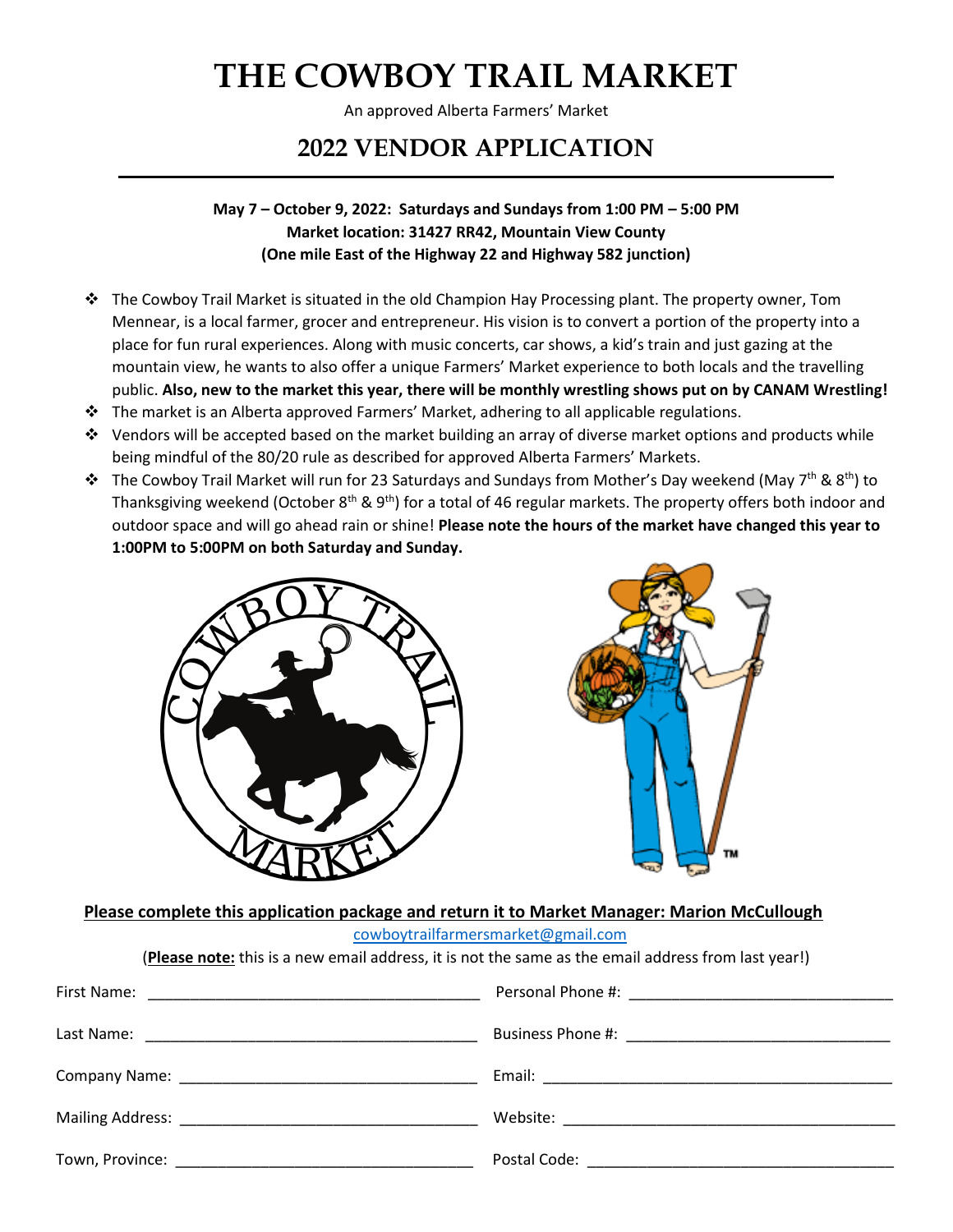An approved Alberta Farmers' Market

## **2022 VENDOR APPLICATION**

#### **May 7 – October 9, 2022: Saturdays and Sundays from 1:00 PM – 5:00 PM Market location: 31427 RR42, Mountain View County (One mile East of the Highway 22 and Highway 582 junction)**

- ❖ The Cowboy Trail Market is situated in the old Champion Hay Processing plant. The property owner, Tom Mennear, is a local farmer, grocer and entrepreneur. His vision is to convert a portion of the property into a place for fun rural experiences. Along with music concerts, car shows, a kid's train and just gazing at the mountain view, he wants to also offer a unique Farmers' Market experience to both locals and the travelling public. **Also, new to the market this year, there will be monthly wrestling shows put on by CANAM Wrestling!**
- ❖ The market is an Alberta approved Farmers' Market, adhering to all applicable regulations.
- ❖ Vendors will be accepted based on the market building an array of diverse market options and products while being mindful of the 80/20 rule as described for approved Alberta Farmers' Markets.
- ❖ The Cowboy Trail Market will run for 23 Saturdays and Sundays from Mother's Day weekend (May 7<sup>th</sup> & 8<sup>th</sup>) to Thanksgiving weekend (October 8<sup>th</sup> & 9<sup>th</sup>) for a total of 46 regular markets. The property offers both indoor and outdoor space and will go ahead rain or shine! **Please note the hours of the market have changed this year to 1:00PM to 5:00PM on both Saturday and Sunday.**





#### **Please complete this application package and return it to Market Manager: Marion McCullough**

[cowboytrailfarmersmarket@gmail.com](mailto:cowboytrailfarmersmarket@gmail.com)

(**Please note:** this is a new email address, it is not the same as the email address from last year!)

| Town, Province: The contract of the contract of the contract of the contract of the contract of the contract of the contract of the contract of the contract of the contract of the contract of the contract of the contract o | Postal Code: The Committee of the Contract of the Contract of the Contract of the Contract of the Contract of the Contract of the Contract of the Contract of the Contract of the Contract of the Contract of the Contract of |
|--------------------------------------------------------------------------------------------------------------------------------------------------------------------------------------------------------------------------------|-------------------------------------------------------------------------------------------------------------------------------------------------------------------------------------------------------------------------------|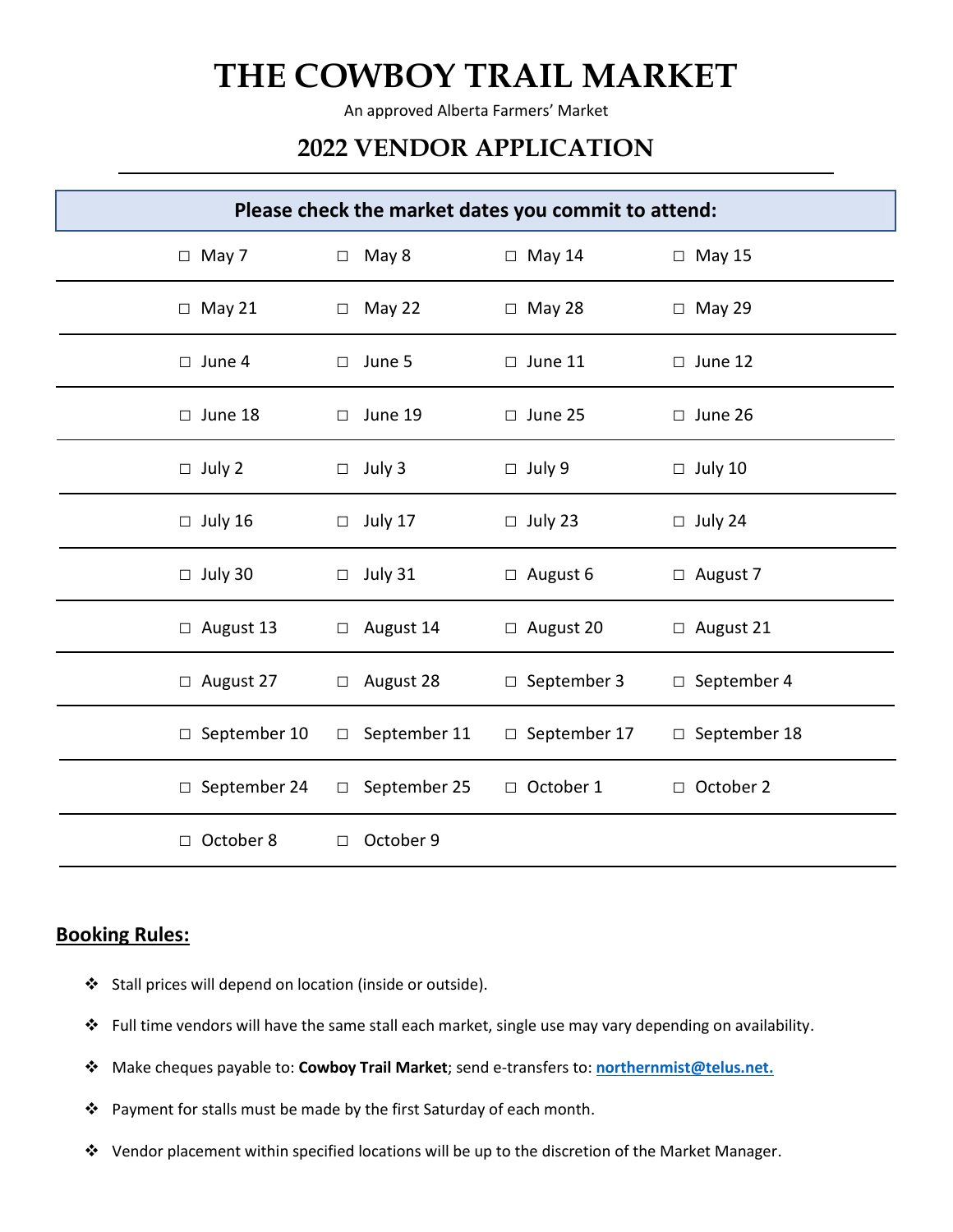An approved Alberta Farmers' Market

## **2022 VENDOR APPLICATION**

| Please check the market dates you commit to attend: |                     |                     |                     |  |
|-----------------------------------------------------|---------------------|---------------------|---------------------|--|
| $\Box$ May 7                                        | $\Box$ May 8        | $\Box$ May 14       | $\Box$ May 15       |  |
| $\Box$ May 21                                       | $\Box$ May 22       | $\Box$ May 28       | $\Box$ May 29       |  |
| $\Box$ June 4                                       | $\Box$ June 5       | $\Box$ June 11      | $\Box$ June 12      |  |
| $\Box$ June 18                                      | $\Box$ June 19      | $\Box$ June 25      | $\Box$ June 26      |  |
| $\Box$ July 2                                       | $\Box$ July 3       | $\Box$ July 9       | $\Box$ July 10      |  |
| $\Box$ July 16                                      | $\Box$ July 17      | $\Box$ July 23      | $\Box$ July 24      |  |
| $\Box$ July 30                                      | $\Box$ July 31      | $\Box$ August 6     | $\Box$ August 7     |  |
| $\Box$ August 13                                    | $\Box$ August 14    | $\Box$ August 20    | $\Box$ August 21    |  |
| $\Box$ August 27                                    | $\Box$ August 28    | □ September 3       | $\Box$ September 4  |  |
| $\Box$ September 10                                 | $\Box$ September 11 | $\Box$ September 17 | $\Box$ September 18 |  |
| $\Box$ September 24                                 | $\Box$ September 25 | □ October 1         | □ October 2         |  |
| October 8<br>$\Box$                                 | October 9<br>$\Box$ |                     |                     |  |

#### **Booking Rules:**

- ❖ Stall prices will depend on location (inside or outside).
- ❖ Full time vendors will have the same stall each market, single use may vary depending on availability.
- ❖ Make cheques payable to: **Cowboy Trail Market**; send e-transfers to: **[northernmist@telus.net.](mailto:northernmist@telus.net)**
- ❖ Payment for stalls must be made by the first Saturday of each month.
- ❖ Vendor placement within specified locations will be up to the discretion of the Market Manager.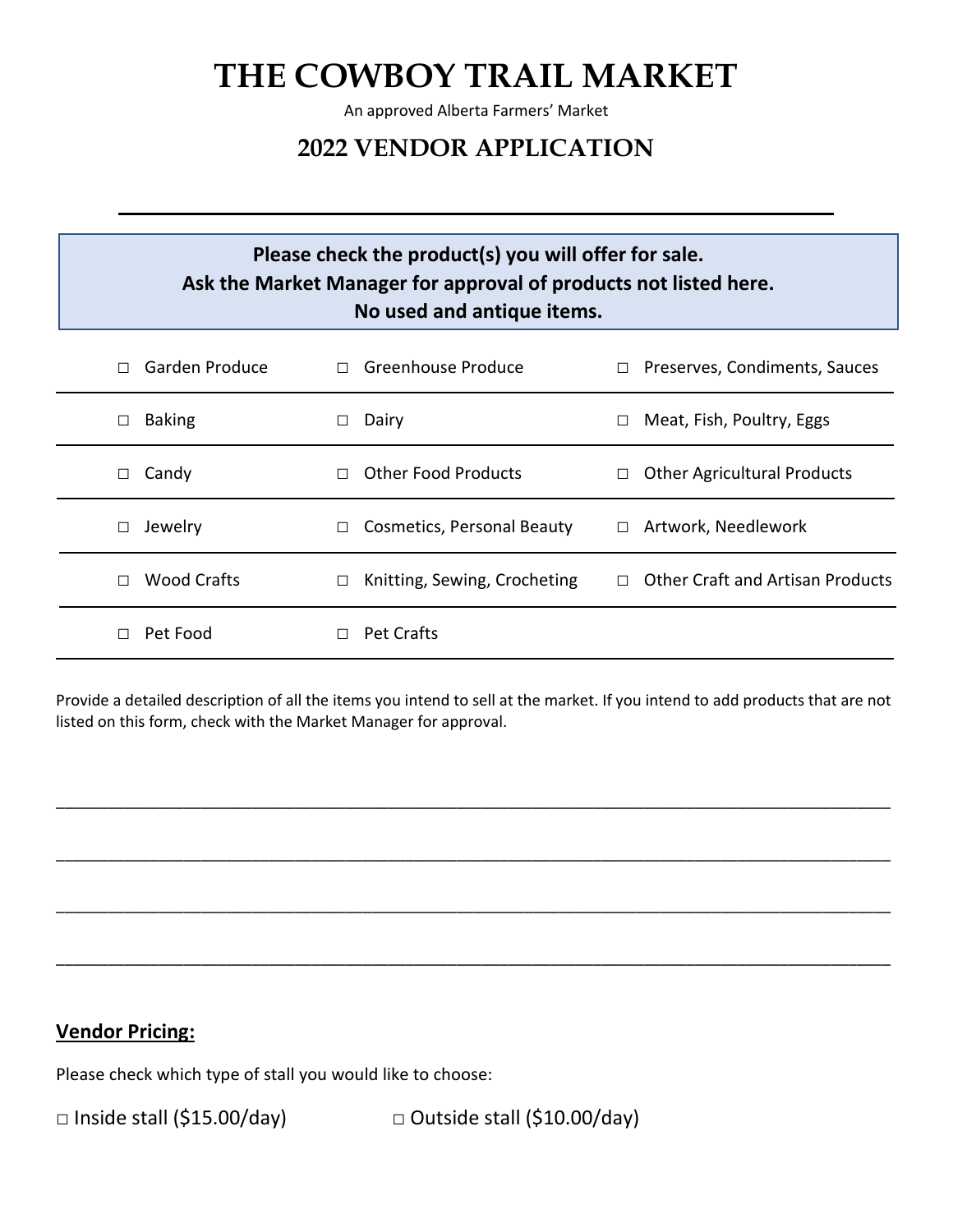An approved Alberta Farmers' Market

### **2022 VENDOR APPLICATION**

### **Please check the product(s) you will offer for sale. Ask the Market Manager for approval of products not listed here. No used and antique items.**

| Garden Produce          | Greenhouse Produce<br>П           | Preserves, Condiments, Sauces<br>$\Box$ |
|-------------------------|-----------------------------------|-----------------------------------------|
| <b>Baking</b><br>$\Box$ | Dairy                             | Meat, Fish, Poultry, Eggs<br>$\Box$     |
| Candy                   | <b>Other Food Products</b>        | <b>Other Agricultural Products</b>      |
| □                       | п                                 | $\Box$                                  |
| Jewelry                 | <b>Cosmetics, Personal Beauty</b> | Artwork, Needlework                     |
| П                       | П                                 | $\Box$                                  |
| Wood Crafts             | Knitting, Sewing, Crocheting      | <b>Other Craft and Artisan Products</b> |
| П                       | $\Box$                            | П.                                      |
| Pet Food                | <b>Pet Crafts</b>                 |                                         |

Provide a detailed description of all the items you intend to sell at the market. If you intend to add products that are not listed on this form, check with the Market Manager for approval.

\_\_\_\_\_\_\_\_\_\_\_\_\_\_\_\_\_\_\_\_\_\_\_\_\_\_\_\_\_\_\_\_\_\_\_\_\_\_\_\_\_\_\_\_\_\_\_\_\_\_\_\_\_\_\_\_\_\_\_\_\_\_\_\_\_\_\_\_\_\_\_\_\_\_\_\_\_\_\_\_\_\_\_\_\_\_\_\_\_\_\_\_\_\_\_\_\_\_

\_\_\_\_\_\_\_\_\_\_\_\_\_\_\_\_\_\_\_\_\_\_\_\_\_\_\_\_\_\_\_\_\_\_\_\_\_\_\_\_\_\_\_\_\_\_\_\_\_\_\_\_\_\_\_\_\_\_\_\_\_\_\_\_\_\_\_\_\_\_\_\_\_\_\_\_\_\_\_\_\_\_\_\_\_\_\_\_\_\_\_\_\_\_\_\_\_\_

\_\_\_\_\_\_\_\_\_\_\_\_\_\_\_\_\_\_\_\_\_\_\_\_\_\_\_\_\_\_\_\_\_\_\_\_\_\_\_\_\_\_\_\_\_\_\_\_\_\_\_\_\_\_\_\_\_\_\_\_\_\_\_\_\_\_\_\_\_\_\_\_\_\_\_\_\_\_\_\_\_\_\_\_\_\_\_\_\_\_\_\_\_\_\_\_\_\_

\_\_\_\_\_\_\_\_\_\_\_\_\_\_\_\_\_\_\_\_\_\_\_\_\_\_\_\_\_\_\_\_\_\_\_\_\_\_\_\_\_\_\_\_\_\_\_\_\_\_\_\_\_\_\_\_\_\_\_\_\_\_\_\_\_\_\_\_\_\_\_\_\_\_\_\_\_\_\_\_\_\_\_\_\_\_\_\_\_\_\_\_\_\_\_\_\_\_

### **Vendor Pricing:**

Please check which type of stall you would like to choose:

□ Inside stall (\$15.00/day) □ Outside stall (\$10.00/day)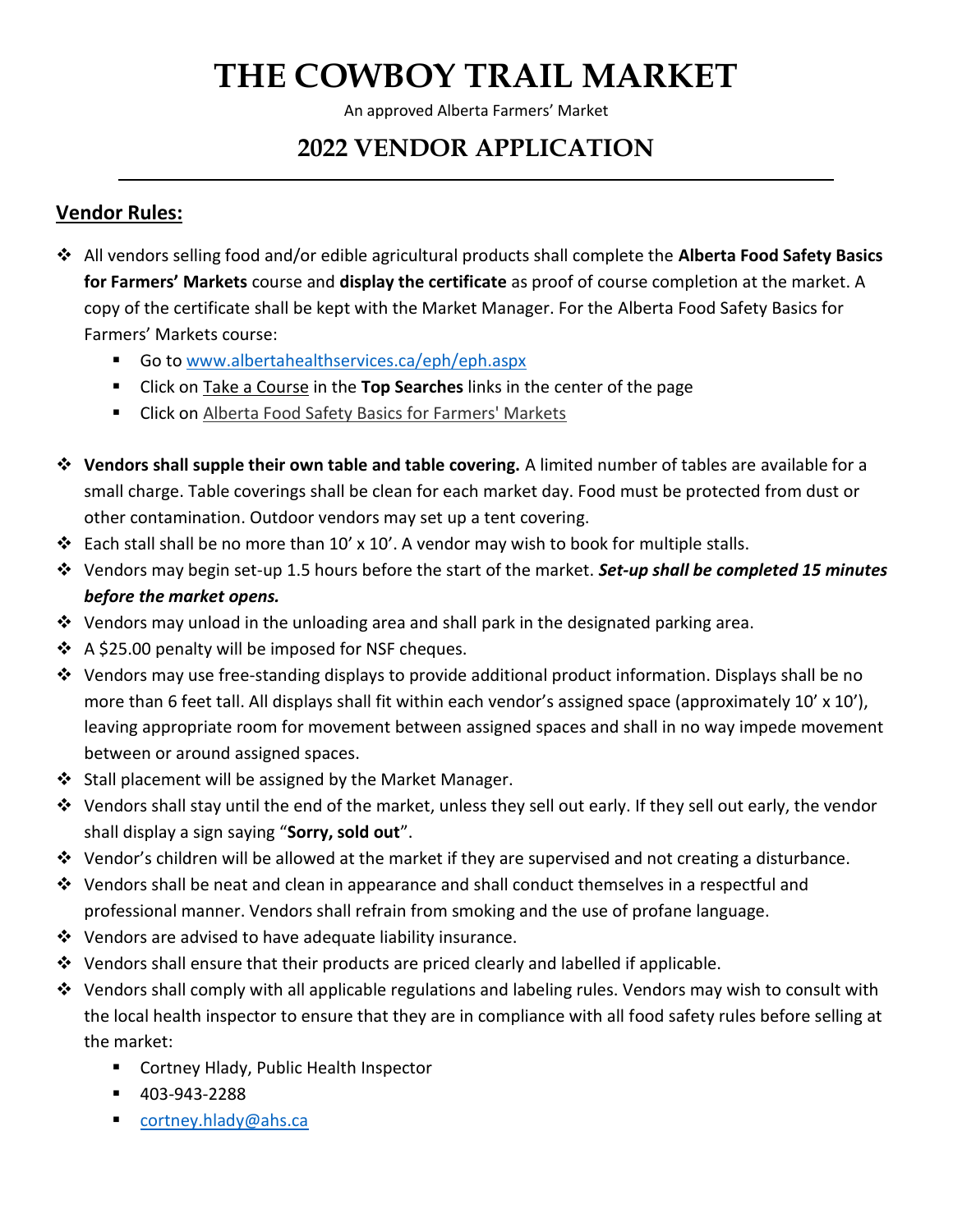An approved Alberta Farmers' Market

## **2022 VENDOR APPLICATION**

### **Vendor Rules:**

- ❖ All vendors selling food and/or edible agricultural products shall complete the **Alberta Food Safety Basics for Farmers' Markets** course and **display the certificate** as proof of course completion at the market. A copy of the certificate shall be kept with the Market Manager. For the Alberta Food Safety Basics for Farmers' Markets course:
	- Go t[o www.albertahealthservices.ca/eph/eph.aspx](http://www.albertahealthservices.ca/eph/eph.aspx)
	- Click on Take a Course in the **Top Searches** links in the center of the page
	- Click on Alberta Food Safety Basics for Farmers' Markets
- ❖ **Vendors shall supple their own table and table covering.** A limited number of tables are available for a small charge. Table coverings shall be clean for each market day. Food must be protected from dust or other contamination. Outdoor vendors may set up a tent covering.
- ❖ Each stall shall be no more than 10' x 10'. A vendor may wish to book for multiple stalls.
- ❖ Vendors may begin set-up 1.5 hours before the start of the market. *Set-up shall be completed 15 minutes before the market opens.*
- ◆ Vendors may unload in the unloading area and shall park in the designated parking area.
- ❖ A \$25.00 penalty will be imposed for NSF cheques.
- ❖ Vendors may use free-standing displays to provide additional product information. Displays shall be no more than 6 feet tall. All displays shall fit within each vendor's assigned space (approximately 10' x 10'), leaving appropriate room for movement between assigned spaces and shall in no way impede movement between or around assigned spaces.
- ❖ Stall placement will be assigned by the Market Manager.
- ❖ Vendors shall stay until the end of the market, unless they sell out early. If they sell out early, the vendor shall display a sign saying "**Sorry, sold out**".
- ❖ Vendor's children will be allowed at the market if they are supervised and not creating a disturbance.
- ❖ Vendors shall be neat and clean in appearance and shall conduct themselves in a respectful and professional manner. Vendors shall refrain from smoking and the use of profane language.
- ❖ Vendors are advised to have adequate liability insurance.
- ❖ Vendors shall ensure that their products are priced clearly and labelled if applicable.
- ◆ Vendors shall comply with all applicable regulations and labeling rules. Vendors may wish to consult with the local health inspector to ensure that they are in compliance with all food safety rules before selling at the market:
	- Cortney Hlady, Public Health Inspector
	- 403-943-2288
	- [cortney.hlady@ahs.ca](mailto:cortney.hlady@ahs.ca)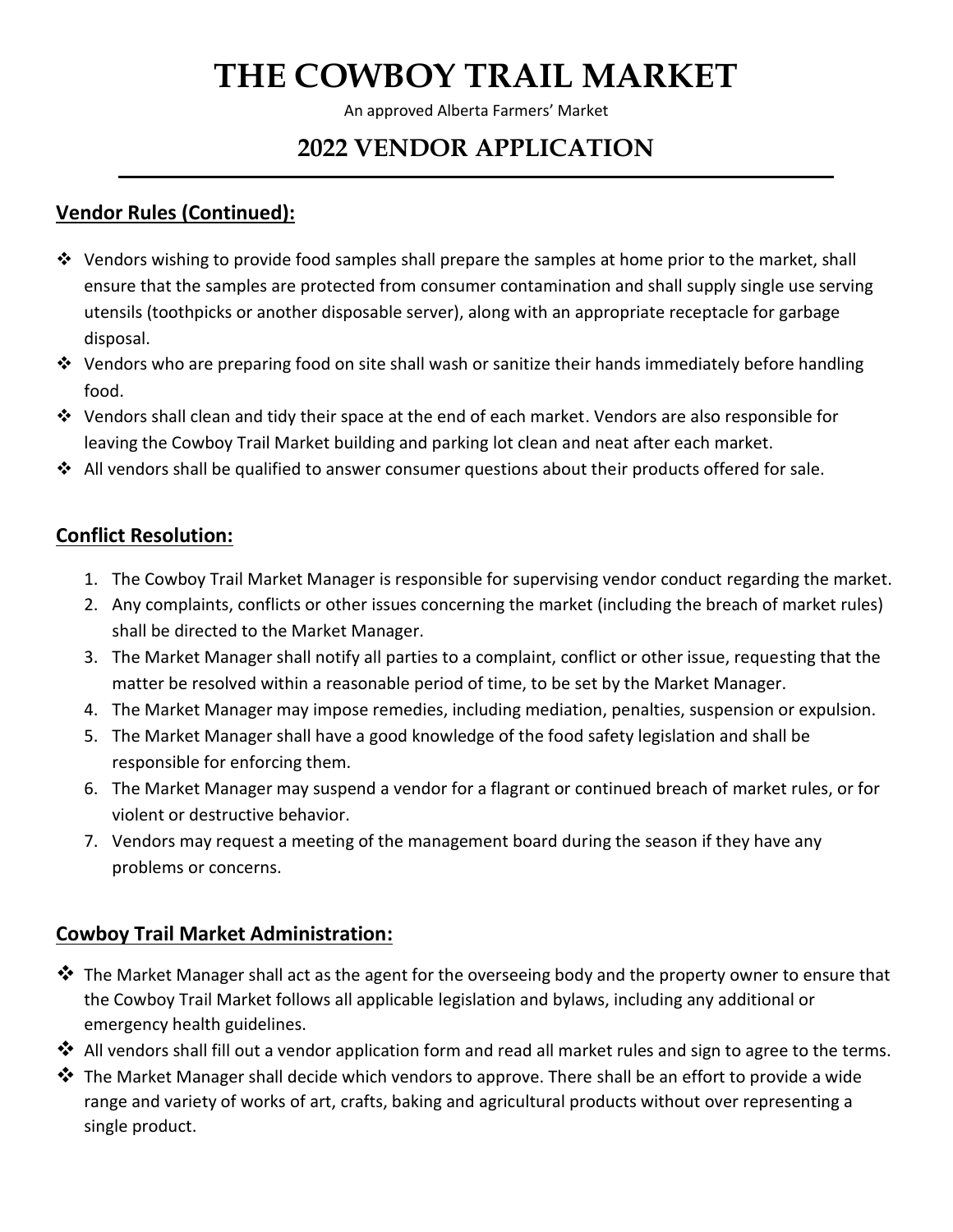An approved Alberta Farmers' Market

## **2022 VENDOR APPLICATION**

### **Vendor Rules (Continued):**

- ❖ Vendors wishing to provide food samples shall prepare the samples at home prior to the market, shall ensure that the samples are protected from consumer contamination and shall supply single use serving utensils (toothpicks or another disposable server), along with an appropriate receptacle for garbage disposal.
- ❖ Vendors who are preparing food on site shall wash or sanitize their hands immediately before handling food.
- ◆ Vendors shall clean and tidy their space at the end of each market. Vendors are also responsible for leaving the Cowboy Trail Market building and parking lot clean and neat after each market.
- ◆ All vendors shall be qualified to answer consumer questions about their products offered for sale.

### **Conflict Resolution:**

- 1. The Cowboy Trail Market Manager is responsible for supervising vendor conduct regarding the market.
- 2. Any complaints, conflicts or other issues concerning the market (including the breach of market rules) shall be directed to the Market Manager.
- 3. The Market Manager shall notify all parties to a complaint, conflict or other issue, requesting that the matter be resolved within a reasonable period of time, to be set by the Market Manager.
- 4. The Market Manager may impose remedies, including mediation, penalties, suspension or expulsion.
- 5. The Market Manager shall have a good knowledge of the food safety legislation and shall be responsible for enforcing them.
- 6. The Market Manager may suspend a vendor for a flagrant or continued breach of market rules, or for violent or destructive behavior.
- 7. Vendors may request a meeting of the management board during the season if they have any problems or concerns.

### **Cowboy Trail Market Administration:**

- ❖ The Market Manager shall act as the agent for the overseeing body and the property owner to ensure that the Cowboy Trail Market follows all applicable legislation and bylaws, including any additional or emergency health guidelines.
- ❖ All vendors shall fill out a vendor application form and read all market rules and sign to agree to the terms.
- ❖ The Market Manager shall decide which vendors to approve. There shall be an effort to provide a wide range and variety of works of art, crafts, baking and agricultural products without over representing a single product.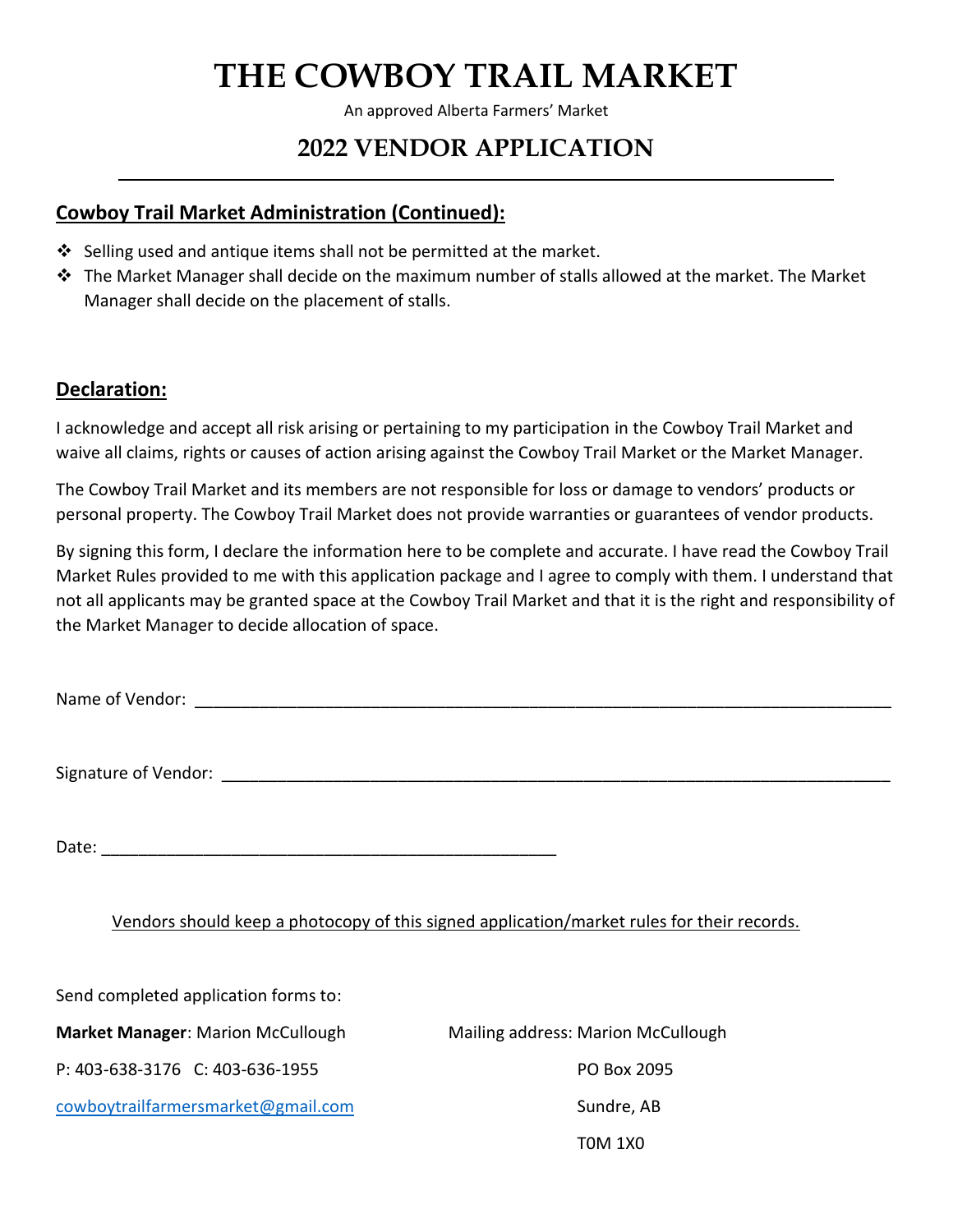An approved Alberta Farmers' Market

## **2022 VENDOR APPLICATION**

### **Cowboy Trail Market Administration (Continued):**

- ❖ Selling used and antique items shall not be permitted at the market.
- ❖ The Market Manager shall decide on the maximum number of stalls allowed at the market. The Market Manager shall decide on the placement of stalls.

### **Declaration:**

I acknowledge and accept all risk arising or pertaining to my participation in the Cowboy Trail Market and waive all claims, rights or causes of action arising against the Cowboy Trail Market or the Market Manager.

The Cowboy Trail Market and its members are not responsible for loss or damage to vendors' products or personal property. The Cowboy Trail Market does not provide warranties or guarantees of vendor products.

By signing this form, I declare the information here to be complete and accurate. I have read the Cowboy Trail Market Rules provided to me with this application package and I agree to comply with them. I understand that not all applicants may be granted space at the Cowboy Trail Market and that it is the right and responsibility of the Market Manager to decide allocation of space.

Name of Vendor: **with a set of vendor**  $\sim$ 

Signature of Vendor: \_\_\_\_\_\_\_\_\_\_\_\_\_\_\_\_\_\_\_\_\_\_\_\_\_\_\_\_\_\_\_\_\_\_\_\_\_\_\_\_\_\_\_\_\_\_\_\_\_\_\_\_\_\_\_\_\_\_\_\_\_\_\_\_\_\_\_\_\_\_\_\_

Date:  $\Box$ 

#### Vendors should keep a photocopy of this signed application/market rules for their records.

Send completed application forms to:

**Market Manager:** Marion McCullough Mailing address: Marion McCullough

P: 403-638-3176 C: 403-636-1955 PO Box 2095

[cowboytrailfarmersmarket@gmail.com](mailto:cowboytrailfarmersmarket@gmail.com) Sundre, AB